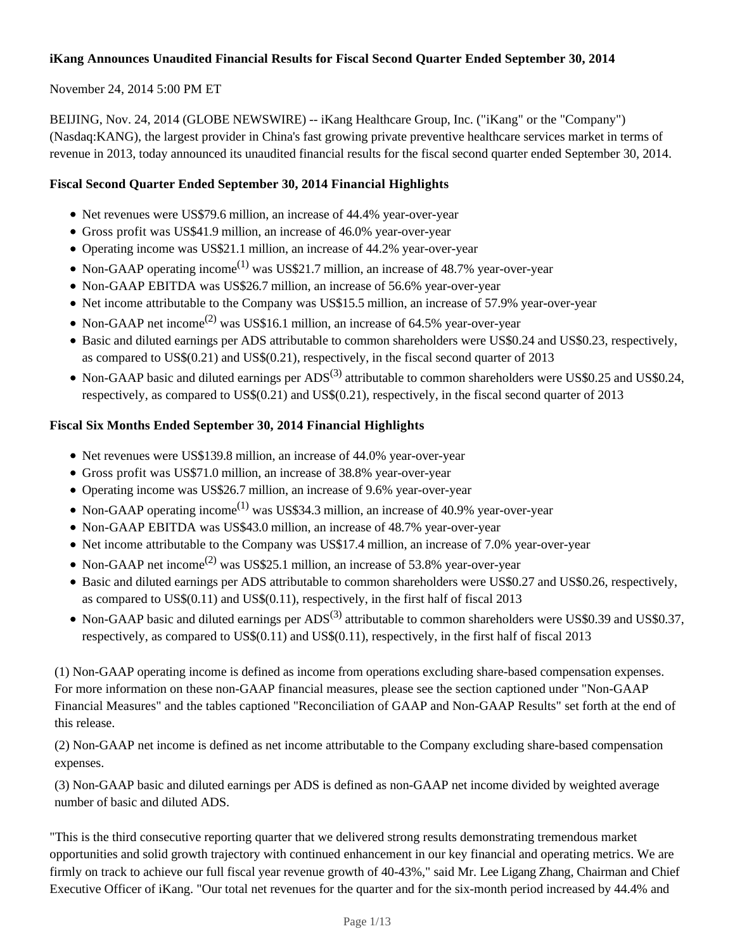# **iKang Announces Unaudited Financial Results for Fiscal Second Quarter Ended September 30, 2014**

# November 24, 2014 5:00 PM ET

BEIJING, Nov. 24, 2014 (GLOBE NEWSWIRE) -- iKang Healthcare Group, Inc. ("iKang" or the "Company") (Nasdaq:KANG), the largest provider in China's fast growing private preventive healthcare services market in terms of revenue in 2013, today announced its unaudited financial results for the fiscal second quarter ended September 30, 2014.

# **Fiscal Second Quarter Ended September 30, 2014 Financial Highlights**

- Net revenues were US\$79.6 million, an increase of 44.4% year-over-year
- Gross profit was US\$41.9 million, an increase of 46.0% year-over-year
- Operating income was US\$21.1 million, an increase of 44.2% year-over-year
- Non-GAAP operating income<sup>(1)</sup> was US\$21.7 million, an increase of 48.7% year-over-year
- Non-GAAP EBITDA was US\$26.7 million, an increase of 56.6% year-over-year
- Net income attributable to the Company was US\$15.5 million, an increase of 57.9% year-over-year
- Non-GAAP net income<sup>(2)</sup> was US\$16.1 million, an increase of 64.5% year-over-year
- Basic and diluted earnings per ADS attributable to common shareholders were US\$0.24 and US\$0.23, respectively, as compared to US\$(0.21) and US\$(0.21), respectively, in the fiscal second quarter of 2013
- Non-GAAP basic and diluted earnings per  $ADS^{(3)}$  attributable to common shareholders were US\$0.25 and US\$0.24, respectively, as compared to US\$(0.21) and US\$(0.21), respectively, in the fiscal second quarter of 2013

# **Fiscal Six Months Ended September 30, 2014 Financial Highlights**

- Net revenues were US\$139.8 million, an increase of 44.0% year-over-year
- Gross profit was US\$71.0 million, an increase of 38.8% year-over-year
- Operating income was US\$26.7 million, an increase of 9.6% year-over-year
- Non-GAAP operating income<sup>(1)</sup> was US\$34.3 million, an increase of 40.9% year-over-year
- Non-GAAP EBITDA was US\$43.0 million, an increase of 48.7% year-over-year
- Net income attributable to the Company was US\$17.4 million, an increase of 7.0% year-over-year
- Non-GAAP net income<sup>(2)</sup> was US\$25.1 million, an increase of 53.8% year-over-year
- Basic and diluted earnings per ADS attributable to common shareholders were US\$0.27 and US\$0.26, respectively, as compared to US\$(0.11) and US\$(0.11), respectively, in the first half of fiscal 2013
- Non-GAAP basic and diluted earnings per  $ADS^{(3)}$  attributable to common shareholders were US\$0.39 and US\$0.37, respectively, as compared to US\$(0.11) and US\$(0.11), respectively, in the first half of fiscal 2013

(1) Non-GAAP operating income is defined as income from operations excluding share-based compensation expenses. For more information on these non-GAAP financial measures, please see the section captioned under "Non-GAAP Financial Measures" and the tables captioned "Reconciliation of GAAP and Non-GAAP Results" set forth at the end of this release.

(2) Non-GAAP net income is defined as net income attributable to the Company excluding share-based compensation expenses.

(3) Non-GAAP basic and diluted earnings per ADS is defined as non-GAAP net income divided by weighted average number of basic and diluted ADS.

"This is the third consecutive reporting quarter that we delivered strong results demonstrating tremendous market opportunities and solid growth trajectory with continued enhancement in our key financial and operating metrics. We are firmly on track to achieve our full fiscal year revenue growth of 40-43%," said Mr. Lee Ligang Zhang, Chairman and Chief Executive Officer of iKang. "Our total net revenues for the quarter and for the six-month period increased by 44.4% and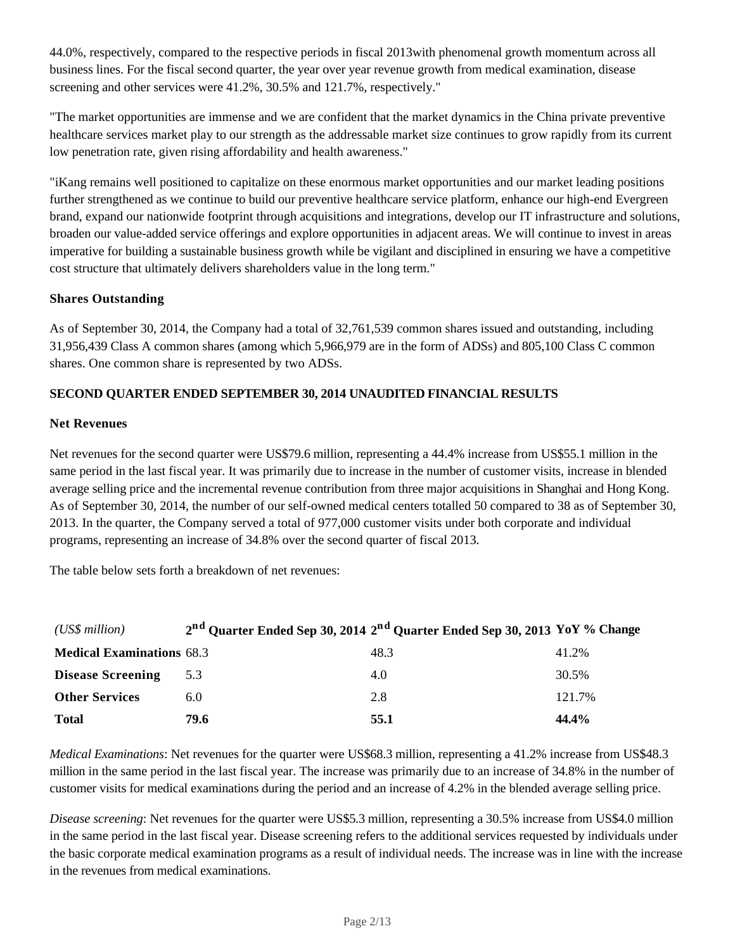44.0%, respectively, compared to the respective periods in fiscal 2013with phenomenal growth momentum across all business lines. For the fiscal second quarter, the year over year revenue growth from medical examination, disease screening and other services were 41.2%, 30.5% and 121.7%, respectively."

"The market opportunities are immense and we are confident that the market dynamics in the China private preventive healthcare services market play to our strength as the addressable market size continues to grow rapidly from its current low penetration rate, given rising affordability and health awareness."

"iKang remains well positioned to capitalize on these enormous market opportunities and our market leading positions further strengthened as we continue to build our preventive healthcare service platform, enhance our high-end Evergreen brand, expand our nationwide footprint through acquisitions and integrations, develop our IT infrastructure and solutions, broaden our value-added service offerings and explore opportunities in adjacent areas. We will continue to invest in areas imperative for building a sustainable business growth while be vigilant and disciplined in ensuring we have a competitive cost structure that ultimately delivers shareholders value in the long term."

# **Shares Outstanding**

As of September 30, 2014, the Company had a total of 32,761,539 common shares issued and outstanding, including 31,956,439 Class A common shares (among which 5,966,979 are in the form of ADSs) and 805,100 Class C common shares. One common share is represented by two ADSs.

# **SECOND QUARTER ENDED SEPTEMBER 30, 2014 UNAUDITED FINANCIAL RESULTS**

#### **Net Revenues**

Net revenues for the second quarter were US\$79.6 million, representing a 44.4% increase from US\$55.1 million in the same period in the last fiscal year. It was primarily due to increase in the number of customer visits, increase in blended average selling price and the incremental revenue contribution from three major acquisitions in Shanghai and Hong Kong. As of September 30, 2014, the number of our self-owned medical centers totalled 50 compared to 38 as of September 30, 2013. In the quarter, the Company served a total of 977,000 customer visits under both corporate and individual programs, representing an increase of 34.8% over the second quarter of fiscal 2013.

The table below sets forth a breakdown of net revenues:

| (US\$ million)                   |               | 2 <sup>nd</sup> Quarter Ended Sep 30, 2014 2 <sup>nd</sup> Quarter Ended Sep 30, 2013 YoY % Change |        |
|----------------------------------|---------------|----------------------------------------------------------------------------------------------------|--------|
| <b>Medical Examinations 68.3</b> |               | 48.3                                                                                               | 41.2%  |
| <b>Disease Screening</b>         | 5.3           | 4.0                                                                                                | 30.5%  |
| <b>Other Services</b>            | $6.0^{\circ}$ | 2.8                                                                                                | 121.7% |
| <b>Total</b>                     | 79.6          | 55.1                                                                                               | 44.4%  |

*Medical Examinations*: Net revenues for the quarter were US\$68.3 million, representing a 41.2% increase from US\$48.3 million in the same period in the last fiscal year. The increase was primarily due to an increase of 34.8% in the number of customer visits for medical examinations during the period and an increase of 4.2% in the blended average selling price.

*Disease screening*: Net revenues for the quarter were US\$5.3 million, representing a 30.5% increase from US\$4.0 million in the same period in the last fiscal year. Disease screening refers to the additional services requested by individuals under the basic corporate medical examination programs as a result of individual needs. The increase was in line with the increase in the revenues from medical examinations.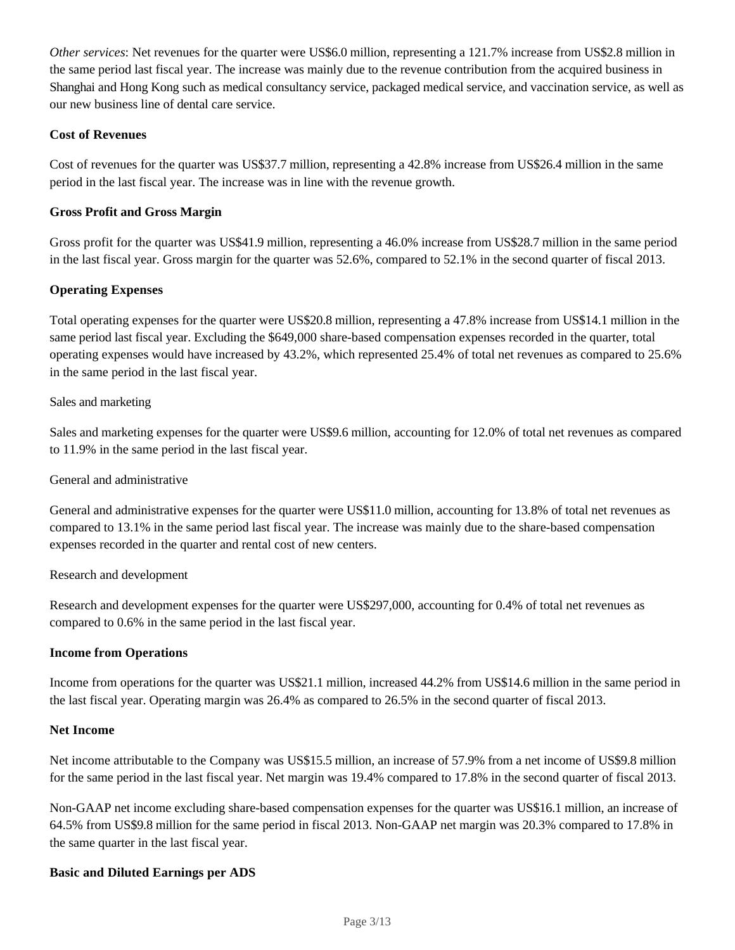*Other services*: Net revenues for the quarter were US\$6.0 million, representing a 121.7% increase from US\$2.8 million in the same period last fiscal year. The increase was mainly due to the revenue contribution from the acquired business in Shanghai and Hong Kong such as medical consultancy service, packaged medical service, and vaccination service, as well as our new business line of dental care service.

# **Cost of Revenues**

Cost of revenues for the quarter was US\$37.7 million, representing a 42.8% increase from US\$26.4 million in the same period in the last fiscal year. The increase was in line with the revenue growth.

# **Gross Profit and Gross Margin**

Gross profit for the quarter was US\$41.9 million, representing a 46.0% increase from US\$28.7 million in the same period in the last fiscal year. Gross margin for the quarter was 52.6%, compared to 52.1% in the second quarter of fiscal 2013.

# **Operating Expenses**

Total operating expenses for the quarter were US\$20.8 million, representing a 47.8% increase from US\$14.1 million in the same period last fiscal year. Excluding the \$649,000 share-based compensation expenses recorded in the quarter, total operating expenses would have increased by 43.2%, which represented 25.4% of total net revenues as compared to 25.6% in the same period in the last fiscal year.

# Sales and marketing

Sales and marketing expenses for the quarter were US\$9.6 million, accounting for 12.0% of total net revenues as compared to 11.9% in the same period in the last fiscal year.

#### General and administrative

General and administrative expenses for the quarter were US\$11.0 million, accounting for 13.8% of total net revenues as compared to 13.1% in the same period last fiscal year. The increase was mainly due to the share-based compensation expenses recorded in the quarter and rental cost of new centers.

#### Research and development

Research and development expenses for the quarter were US\$297,000, accounting for 0.4% of total net revenues as compared to 0.6% in the same period in the last fiscal year.

#### **Income from Operations**

Income from operations for the quarter was US\$21.1 million, increased 44.2% from US\$14.6 million in the same period in the last fiscal year. Operating margin was 26.4% as compared to 26.5% in the second quarter of fiscal 2013.

#### **Net Income**

Net income attributable to the Company was US\$15.5 million, an increase of 57.9% from a net income of US\$9.8 million for the same period in the last fiscal year. Net margin was 19.4% compared to 17.8% in the second quarter of fiscal 2013.

Non-GAAP net income excluding share-based compensation expenses for the quarter was US\$16.1 million, an increase of 64.5% from US\$9.8 million for the same period in fiscal 2013. Non-GAAP net margin was 20.3% compared to 17.8% in the same quarter in the last fiscal year.

#### **Basic and Diluted Earnings per ADS**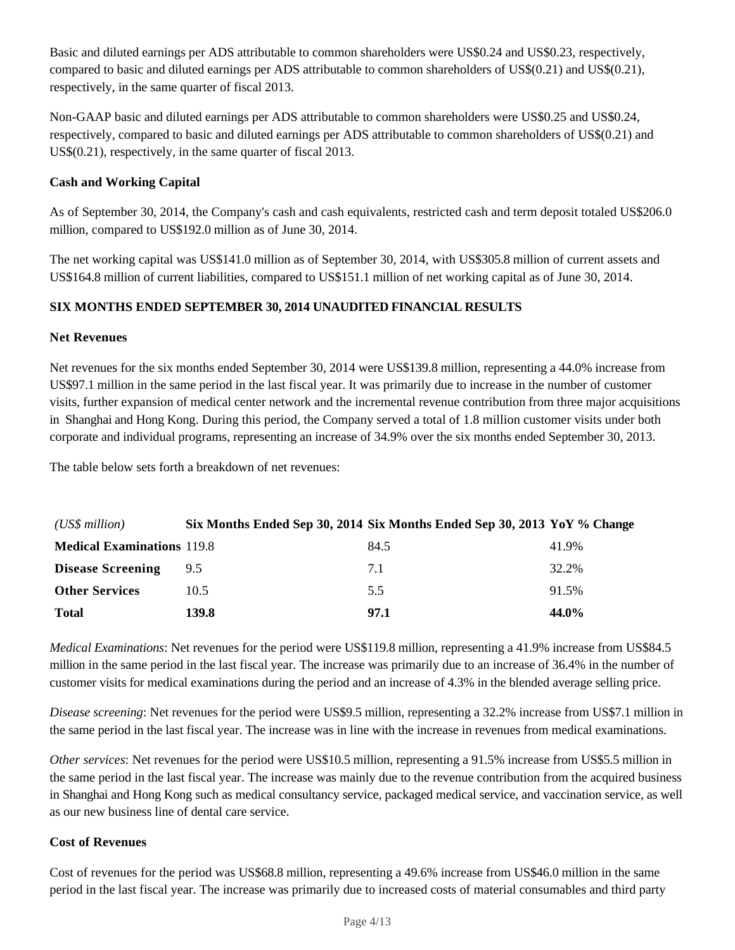Basic and diluted earnings per ADS attributable to common shareholders were US\$0.24 and US\$0.23, respectively, compared to basic and diluted earnings per ADS attributable to common shareholders of US\$(0.21) and US\$(0.21), respectively, in the same quarter of fiscal 2013.

Non-GAAP basic and diluted earnings per ADS attributable to common shareholders were US\$0.25 and US\$0.24, respectively, compared to basic and diluted earnings per ADS attributable to common shareholders of US\$(0.21) and US\$(0.21), respectively, in the same quarter of fiscal 2013.

# **Cash and Working Capital**

As of September 30, 2014, the Company's cash and cash equivalents, restricted cash and term deposit totaled US\$206.0 million, compared to US\$192.0 million as of June 30, 2014.

The net working capital was US\$141.0 million as of September 30, 2014, with US\$305.8 million of current assets and US\$164.8 million of current liabilities, compared to US\$151.1 million of net working capital as of June 30, 2014.

# **SIX MONTHS ENDED SEPTEMBER 30, 2014 UNAUDITED FINANCIAL RESULTS**

# **Net Revenues**

Net revenues for the six months ended September 30, 2014 were US\$139.8 million, representing a 44.0% increase from US\$97.1 million in the same period in the last fiscal year. It was primarily due to increase in the number of customer visits, further expansion of medical center network and the incremental revenue contribution from three major acquisitions in Shanghai and Hong Kong. During this period, the Company served a total of 1.8 million customer visits under both corporate and individual programs, representing an increase of 34.9% over the six months ended September 30, 2013.

The table below sets forth a breakdown of net revenues:

| (US\$ million)                    |       | Six Months Ended Sep 30, 2014 Six Months Ended Sep 30, 2013 YoY % Change |       |
|-----------------------------------|-------|--------------------------------------------------------------------------|-------|
| <b>Medical Examinations 119.8</b> |       | 84.5                                                                     | 41.9% |
| <b>Disease Screening</b>          | 9.5   | 7.1                                                                      | 32.2% |
| <b>Other Services</b>             | 10.5  | 5.5                                                                      | 91.5% |
| <b>Total</b>                      | 139.8 | 97.1                                                                     | 44.0% |

*Medical Examinations*: Net revenues for the period were US\$119.8 million, representing a 41.9% increase from US\$84.5 million in the same period in the last fiscal year. The increase was primarily due to an increase of 36.4% in the number of customer visits for medical examinations during the period and an increase of 4.3% in the blended average selling price.

*Disease screening*: Net revenues for the period were US\$9.5 million, representing a 32.2% increase from US\$7.1 million in the same period in the last fiscal year. The increase was in line with the increase in revenues from medical examinations.

*Other services*: Net revenues for the period were US\$10.5 million, representing a 91.5% increase from US\$5.5 million in the same period in the last fiscal year. The increase was mainly due to the revenue contribution from the acquired business in Shanghai and Hong Kong such as medical consultancy service, packaged medical service, and vaccination service, as well as our new business line of dental care service.

# **Cost of Revenues**

Cost of revenues for the period was US\$68.8 million, representing a 49.6% increase from US\$46.0 million in the same period in the last fiscal year. The increase was primarily due to increased costs of material consumables and third party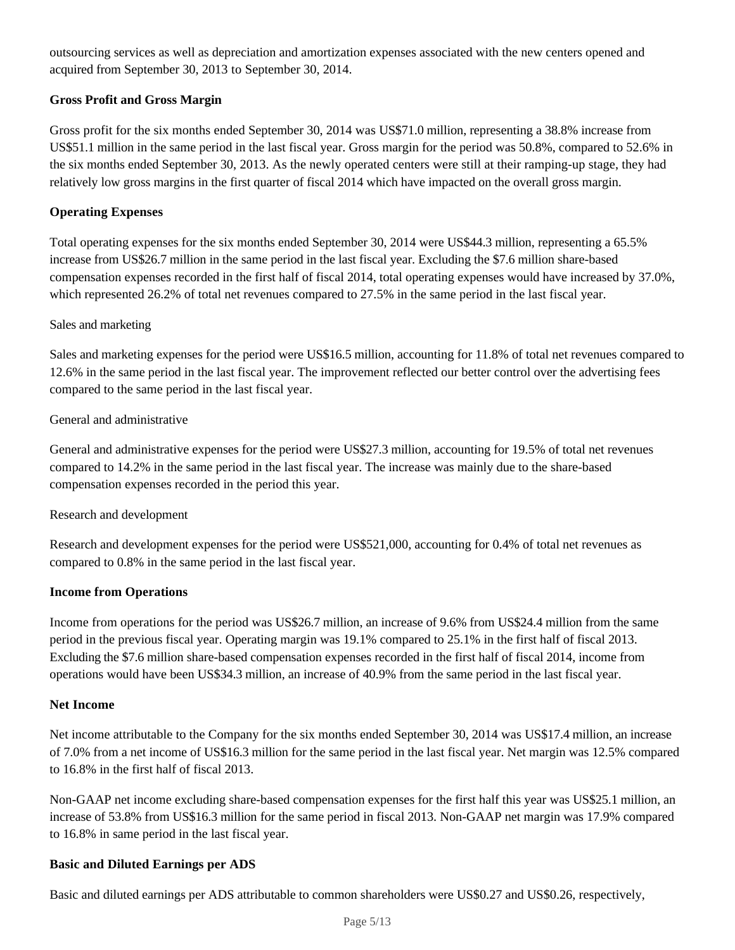outsourcing services as well as depreciation and amortization expenses associated with the new centers opened and acquired from September 30, 2013 to September 30, 2014.

# **Gross Profit and Gross Margin**

Gross profit for the six months ended September 30, 2014 was US\$71.0 million, representing a 38.8% increase from US\$51.1 million in the same period in the last fiscal year. Gross margin for the period was 50.8%, compared to 52.6% in the six months ended September 30, 2013. As the newly operated centers were still at their ramping-up stage, they had relatively low gross margins in the first quarter of fiscal 2014 which have impacted on the overall gross margin.

#### **Operating Expenses**

Total operating expenses for the six months ended September 30, 2014 were US\$44.3 million, representing a 65.5% increase from US\$26.7 million in the same period in the last fiscal year. Excluding the \$7.6 million share-based compensation expenses recorded in the first half of fiscal 2014, total operating expenses would have increased by 37.0%, which represented 26.2% of total net revenues compared to 27.5% in the same period in the last fiscal year.

# Sales and marketing

Sales and marketing expenses for the period were US\$16.5 million, accounting for 11.8% of total net revenues compared to 12.6% in the same period in the last fiscal year. The improvement reflected our better control over the advertising fees compared to the same period in the last fiscal year.

# General and administrative

General and administrative expenses for the period were US\$27.3 million, accounting for 19.5% of total net revenues compared to 14.2% in the same period in the last fiscal year. The increase was mainly due to the share-based compensation expenses recorded in the period this year.

#### Research and development

Research and development expenses for the period were US\$521,000, accounting for 0.4% of total net revenues as compared to 0.8% in the same period in the last fiscal year.

#### **Income from Operations**

Income from operations for the period was US\$26.7 million, an increase of 9.6% from US\$24.4 million from the same period in the previous fiscal year. Operating margin was 19.1% compared to 25.1% in the first half of fiscal 2013. Excluding the \$7.6 million share-based compensation expenses recorded in the first half of fiscal 2014, income from operations would have been US\$34.3 million, an increase of 40.9% from the same period in the last fiscal year.

#### **Net Income**

Net income attributable to the Company for the six months ended September 30, 2014 was US\$17.4 million, an increase of 7.0% from a net income of US\$16.3 million for the same period in the last fiscal year. Net margin was 12.5% compared to 16.8% in the first half of fiscal 2013.

Non-GAAP net income excluding share-based compensation expenses for the first half this year was US\$25.1 million, an increase of 53.8% from US\$16.3 million for the same period in fiscal 2013. Non-GAAP net margin was 17.9% compared to 16.8% in same period in the last fiscal year.

#### **Basic and Diluted Earnings per ADS**

Basic and diluted earnings per ADS attributable to common shareholders were US\$0.27 and US\$0.26, respectively,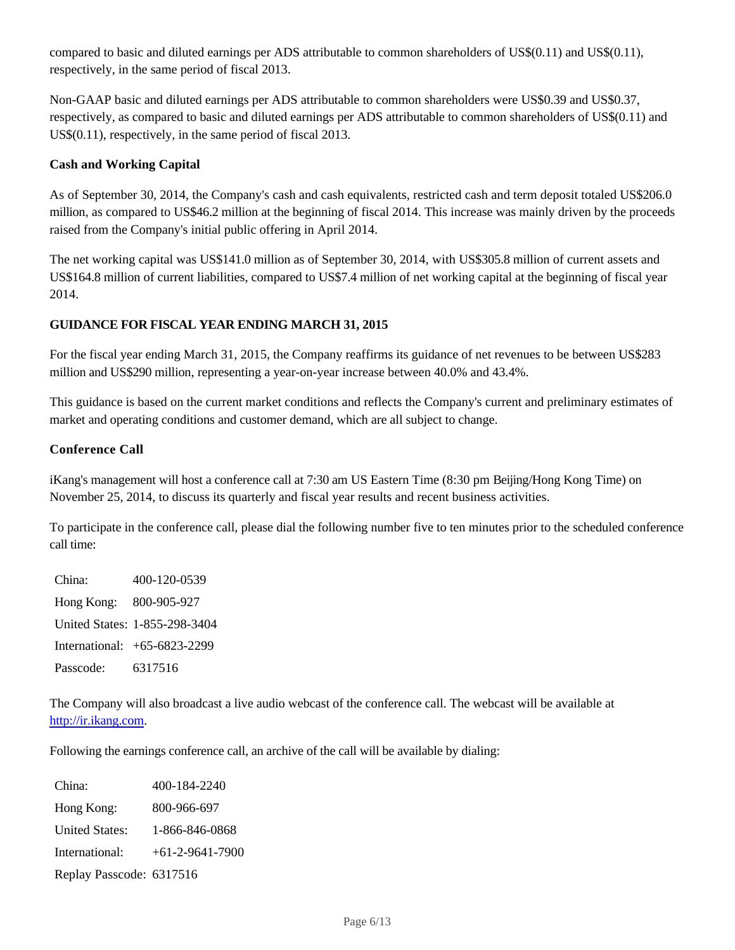compared to basic and diluted earnings per ADS attributable to common shareholders of US\$(0.11) and US\$(0.11), respectively, in the same period of fiscal 2013.

Non-GAAP basic and diluted earnings per ADS attributable to common shareholders were US\$0.39 and US\$0.37, respectively, as compared to basic and diluted earnings per ADS attributable to common shareholders of US\$(0.11) and US\$(0.11), respectively, in the same period of fiscal 2013.

# **Cash and Working Capital**

As of September 30, 2014, the Company's cash and cash equivalents, restricted cash and term deposit totaled US\$206.0 million, as compared to US\$46.2 million at the beginning of fiscal 2014. This increase was mainly driven by the proceeds raised from the Company's initial public offering in April 2014.

The net working capital was US\$141.0 million as of September 30, 2014, with US\$305.8 million of current assets and US\$164.8 million of current liabilities, compared to US\$7.4 million of net working capital at the beginning of fiscal year 2014.

# **GUIDANCE FOR FISCAL YEAR ENDING MARCH 31, 2015**

For the fiscal year ending March 31, 2015, the Company reaffirms its guidance of net revenues to be between US\$283 million and US\$290 million, representing a year-on-year increase between 40.0% and 43.4%.

This guidance is based on the current market conditions and reflects the Company's current and preliminary estimates of market and operating conditions and customer demand, which are all subject to change.

#### **Conference Call**

iKang's management will host a conference call at 7:30 am US Eastern Time (8:30 pm Beijing/Hong Kong Time) on November 25, 2014, to discuss its quarterly and fiscal year results and recent business activities.

To participate in the conference call, please dial the following number five to ten minutes prior to the scheduled conference call time:

China: 400-120-0539 Hong Kong: 800-905-927 United States: 1-855-298-3404 International: +65-6823-2299 Passcode: 6317516

The Company will also broadcast a live audio webcast of the conference call. The webcast will be available at http://ir.ikang.com.

Following the earnings conference call, an archive of the call will be available by dialing:

| China:                   | 400-184-2240      |
|--------------------------|-------------------|
| Hong Kong:               | 800-966-697       |
| <b>United States:</b>    | 1-866-846-0868    |
| International:           | $+61-2-9641-7900$ |
| Replay Passcode: 6317516 |                   |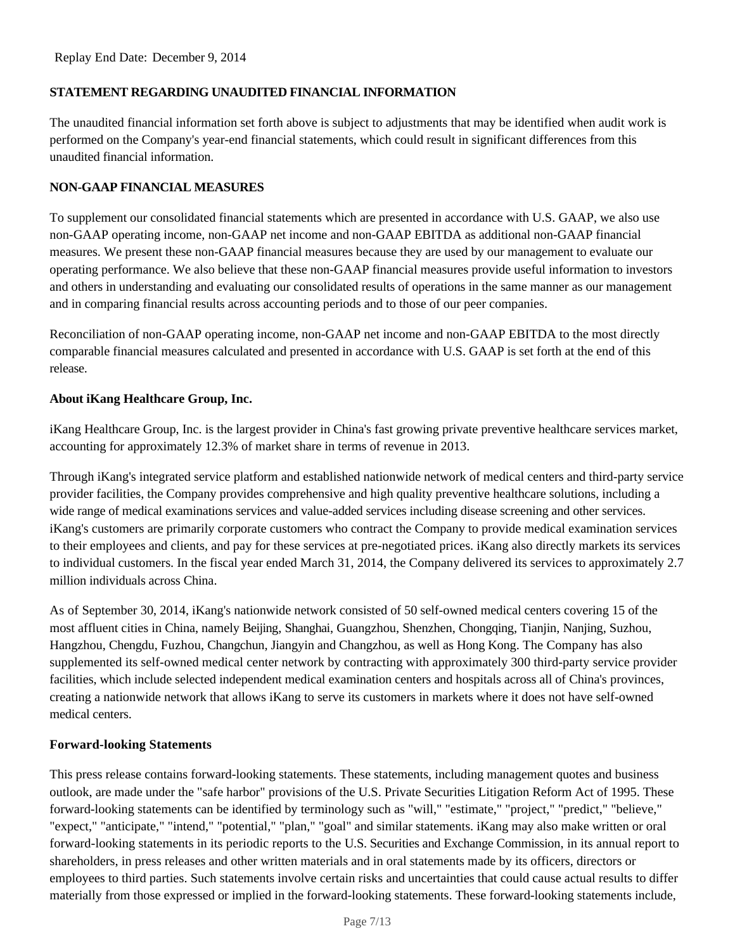# **STATEMENT REGARDING UNAUDITED FINANCIAL INFORMATION**

The unaudited financial information set forth above is subject to adjustments that may be identified when audit work is performed on the Company's year-end financial statements, which could result in significant differences from this unaudited financial information.

# **NON-GAAP FINANCIAL MEASURES**

To supplement our consolidated financial statements which are presented in accordance with U.S. GAAP, we also use non-GAAP operating income, non-GAAP net income and non-GAAP EBITDA as additional non-GAAP financial measures. We present these non-GAAP financial measures because they are used by our management to evaluate our operating performance. We also believe that these non-GAAP financial measures provide useful information to investors and others in understanding and evaluating our consolidated results of operations in the same manner as our management and in comparing financial results across accounting periods and to those of our peer companies.

Reconciliation of non-GAAP operating income, non-GAAP net income and non-GAAP EBITDA to the most directly comparable financial measures calculated and presented in accordance with U.S. GAAP is set forth at the end of this release.

# **About iKang Healthcare Group, Inc.**

iKang Healthcare Group, Inc. is the largest provider in China's fast growing private preventive healthcare services market, accounting for approximately 12.3% of market share in terms of revenue in 2013.

Through iKang's integrated service platform and established nationwide network of medical centers and third-party service provider facilities, the Company provides comprehensive and high quality preventive healthcare solutions, including a wide range of medical examinations services and value-added services including disease screening and other services. iKang's customers are primarily corporate customers who contract the Company to provide medical examination services to their employees and clients, and pay for these services at pre-negotiated prices. iKang also directly markets its services to individual customers. In the fiscal year ended March 31, 2014, the Company delivered its services to approximately 2.7 million individuals across China.

As of September 30, 2014, iKang's nationwide network consisted of 50 self-owned medical centers covering 15 of the most affluent cities in China, namely Beijing, Shanghai, Guangzhou, Shenzhen, Chongqing, Tianjin, Nanjing, Suzhou, Hangzhou, Chengdu, Fuzhou, Changchun, Jiangyin and Changzhou, as well as Hong Kong. The Company has also supplemented its self-owned medical center network by contracting with approximately 300 third-party service provider facilities, which include selected independent medical examination centers and hospitals across all of China's provinces, creating a nationwide network that allows iKang to serve its customers in markets where it does not have self-owned medical centers.

#### **Forward-looking Statements**

This press release contains forward-looking statements. These statements, including management quotes and business outlook, are made under the "safe harbor" provisions of the U.S. Private Securities Litigation Reform Act of 1995. These forward-looking statements can be identified by terminology such as "will," "estimate," "project," "predict," "believe," "expect," "anticipate," "intend," "potential," "plan," "goal" and similar statements. iKang may also make written or oral forward-looking statements in its periodic reports to the U.S. Securities and Exchange Commission, in its annual report to shareholders, in press releases and other written materials and in oral statements made by its officers, directors or employees to third parties. Such statements involve certain risks and uncertainties that could cause actual results to differ materially from those expressed or implied in the forward-looking statements. These forward-looking statements include,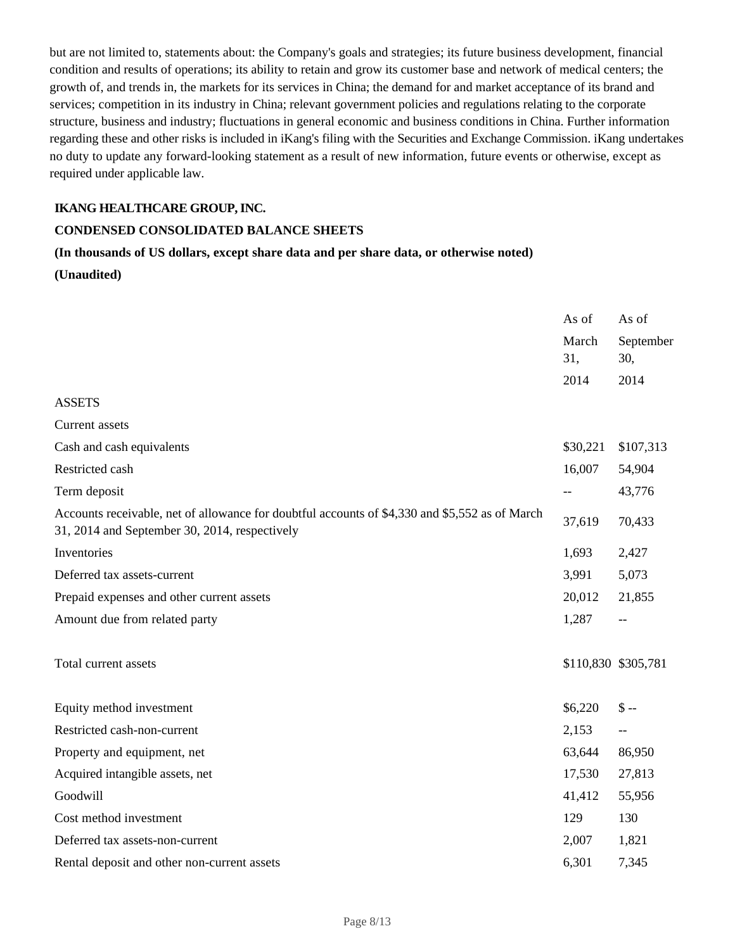but are not limited to, statements about: the Company's goals and strategies; its future business development, financial condition and results of operations; its ability to retain and grow its customer base and network of medical centers; the growth of, and trends in, the markets for its services in China; the demand for and market acceptance of its brand and services; competition in its industry in China; relevant government policies and regulations relating to the corporate structure, business and industry; fluctuations in general economic and business conditions in China. Further information regarding these and other risks is included in iKang's filing with the Securities and Exchange Commission. iKang undertakes no duty to update any forward-looking statement as a result of new information, future events or otherwise, except as required under applicable law.

# **IKANG HEALTHCARE GROUP, INC.**

#### **CONDENSED CONSOLIDATED BALANCE SHEETS**

# **(In thousands of US dollars, except share data and per share data, or otherwise noted) (Unaudited)**

|                                                                                                                                                 | As of<br>March<br>31,<br>2014 | As of<br>September<br>30,<br>2014 |
|-------------------------------------------------------------------------------------------------------------------------------------------------|-------------------------------|-----------------------------------|
| <b>ASSETS</b>                                                                                                                                   |                               |                                   |
| Current assets                                                                                                                                  |                               |                                   |
| Cash and cash equivalents                                                                                                                       | \$30,221                      | \$107,313                         |
| Restricted cash                                                                                                                                 | 16,007                        | 54,904                            |
| Term deposit                                                                                                                                    |                               | 43,776                            |
| Accounts receivable, net of allowance for doubtful accounts of \$4,330 and \$5,552 as of March<br>31, 2014 and September 30, 2014, respectively | 37,619                        | 70,433                            |
| Inventories                                                                                                                                     | 1,693                         | 2,427                             |
| Deferred tax assets-current                                                                                                                     | 3,991                         | 5,073                             |
| Prepaid expenses and other current assets                                                                                                       | 20,012                        | 21,855                            |
| Amount due from related party                                                                                                                   | 1,287                         | $- -$                             |
| Total current assets                                                                                                                            |                               | \$110,830 \$305,781               |
| Equity method investment                                                                                                                        | \$6,220                       | $S -$                             |
| Restricted cash-non-current                                                                                                                     | 2,153                         | $\overline{a}$                    |
| Property and equipment, net                                                                                                                     | 63,644                        | 86,950                            |
| Acquired intangible assets, net                                                                                                                 | 17,530                        | 27,813                            |
| Goodwill                                                                                                                                        | 41,412                        | 55,956                            |
| Cost method investment                                                                                                                          | 129                           | 130                               |
| Deferred tax assets-non-current                                                                                                                 | 2,007                         | 1,821                             |
| Rental deposit and other non-current assets                                                                                                     | 6,301                         | 7,345                             |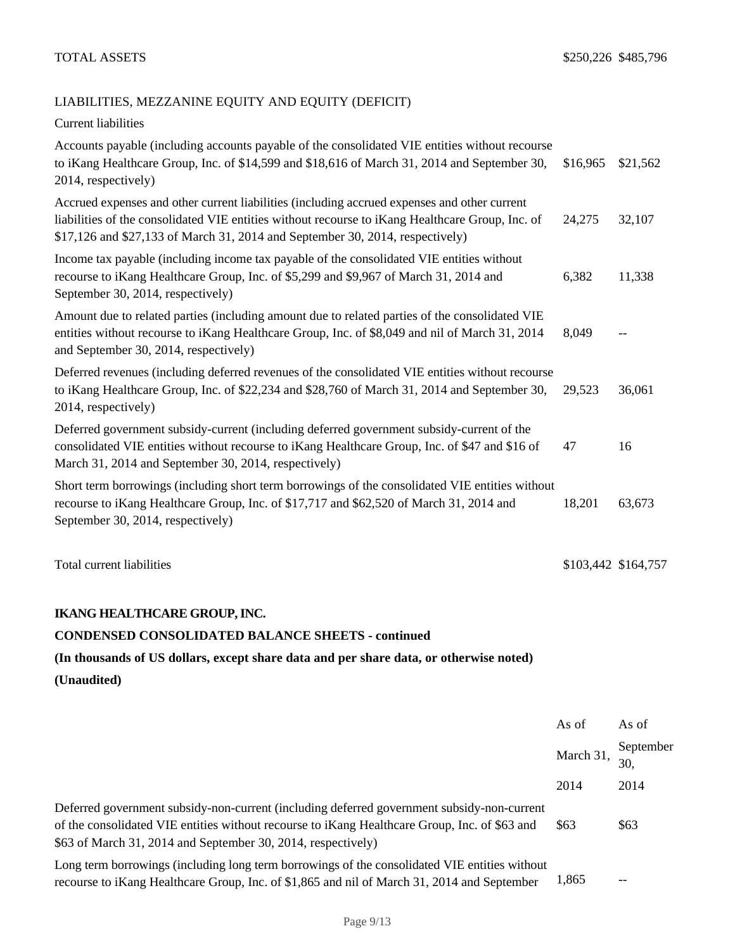# LIABILITIES, MEZZANINE EQUITY AND EQUITY (DEFICIT)

Current liabilities

| Short term borrowings (including short term borrowings of the consolidated VIE entities without<br>recourse to iKang Healthcare Group, Inc. of \$17,717 and \$62,520 of March 31, 2014 and<br>September 30, 2014, respectively)                                                   | 18,201                                                                                                     | 63,673   |
|-----------------------------------------------------------------------------------------------------------------------------------------------------------------------------------------------------------------------------------------------------------------------------------|------------------------------------------------------------------------------------------------------------|----------|
| Deferred government subsidy-current (including deferred government subsidy-current of the<br>consolidated VIE entities without recourse to iKang Healthcare Group, Inc. of \$47 and \$16 of<br>March 31, 2014 and September 30, 2014, respectively)                               | 47                                                                                                         | 16       |
| Deferred revenues (including deferred revenues of the consolidated VIE entities without recourse<br>to iKang Healthcare Group, Inc. of \$22,234 and \$28,760 of March 31, 2014 and September 30,<br>2014, respectively)                                                           | 29,523                                                                                                     | 36,061   |
| Amount due to related parties (including amount due to related parties of the consolidated VIE<br>entities without recourse to iKang Healthcare Group, Inc. of \$8,049 and nil of March 31, 2014<br>and September 30, 2014, respectively)                                         | 8,049                                                                                                      |          |
| Income tax payable (including income tax payable of the consolidated VIE entities without<br>recourse to iKang Healthcare Group, Inc. of \$5,299 and \$9,967 of March 31, 2014 and<br>September 30, 2014, respectively)                                                           | 6,382                                                                                                      | 11,338   |
| Accrued expenses and other current liabilities (including accrued expenses and other current<br>liabilities of the consolidated VIE entities without recourse to iKang Healthcare Group, Inc. of<br>\$17,126 and \$27,133 of March 31, 2014 and September 30, 2014, respectively) | 24,275                                                                                                     | 32,107   |
| to iKang Healthcare Group, Inc. of \$14,599 and \$18,616 of March 31, 2014 and September 30,<br>2014, respectively)                                                                                                                                                               | Accounts payable (including accounts payable of the consolidated VIE entities without recourse<br>\$16,965 | \$21,562 |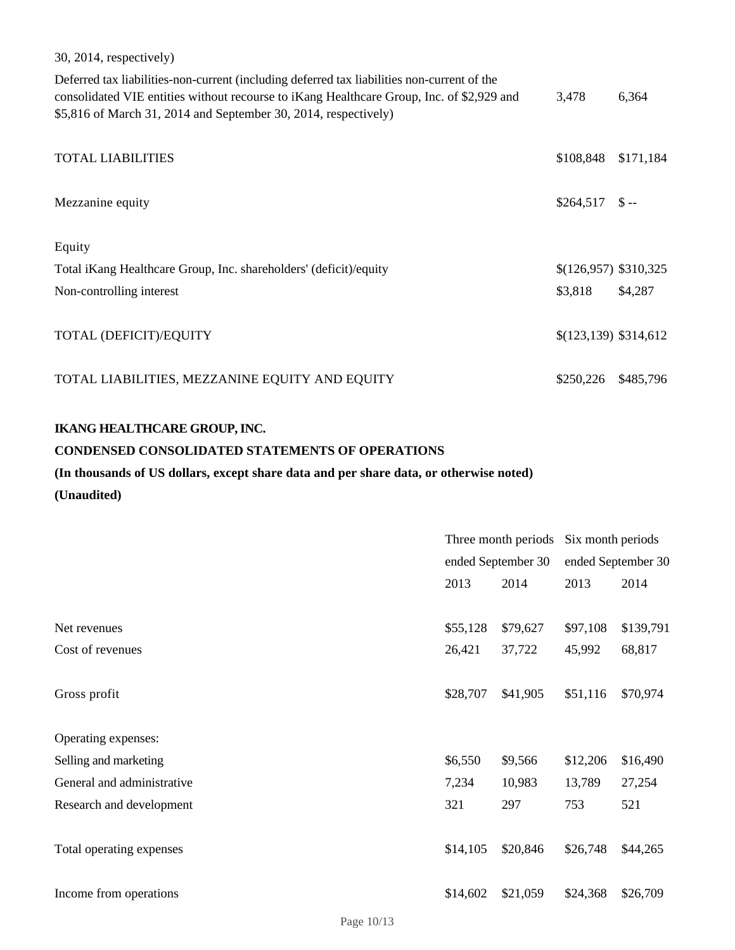30, 2014, respectively)

| Deferred tax liabilities-non-current (including deferred tax liabilities non-current of the<br>consolidated VIE entities without recourse to iKang Healthcare Group, Inc. of \$2,929 and<br>\$5,816 of March 31, 2014 and September 30, 2014, respectively) | 3,478                  | 6,364     |
|-------------------------------------------------------------------------------------------------------------------------------------------------------------------------------------------------------------------------------------------------------------|------------------------|-----------|
| <b>TOTAL LIABILITIES</b>                                                                                                                                                                                                                                    | \$108,848              | \$171,184 |
| Mezzanine equity                                                                                                                                                                                                                                            | \$264,517              | $S -$     |
| Equity                                                                                                                                                                                                                                                      |                        |           |
| Total iKang Healthcare Group, Inc. shareholders' (deficit)/equity                                                                                                                                                                                           | $$(126,957)$ \$310,325 |           |
| Non-controlling interest                                                                                                                                                                                                                                    | \$3,818                | \$4,287   |
| TOTAL (DEFICIT)/EQUITY                                                                                                                                                                                                                                      | $$(123,139)$ \$314,612 |           |
| TOTAL LIABILITIES, MEZZANINE EQUITY AND EQUITY                                                                                                                                                                                                              | \$250,226              | \$485,796 |

# **IKANG HEALTHCARE GROUP, INC.**

#### **CONDENSED CONSOLIDATED STATEMENTS OF OPERATIONS**

# **(In thousands of US dollars, except share data and per share data, or otherwise noted)**

**(Unaudited)**

|                            | Three month periods<br>ended September 30 |          | Six month periods |                    |
|----------------------------|-------------------------------------------|----------|-------------------|--------------------|
|                            |                                           |          |                   | ended September 30 |
|                            | 2013                                      | 2014     |                   | 2014               |
|                            |                                           |          |                   |                    |
| Net revenues               | \$55,128                                  | \$79,627 | \$97,108          | \$139,791          |
| Cost of revenues           | 26,421                                    | 37,722   | 45,992            | 68,817             |
|                            |                                           |          |                   |                    |
| Gross profit               | \$28,707                                  | \$41,905 | \$51,116          | \$70,974           |
|                            |                                           |          |                   |                    |
| Operating expenses:        |                                           |          |                   |                    |
| Selling and marketing      | \$6,550                                   | \$9,566  | \$12,206          | \$16,490           |
| General and administrative | 7,234                                     | 10,983   | 13,789            | 27,254             |
| Research and development   | 321                                       | 297      | 753               | 521                |
|                            |                                           |          |                   |                    |
| Total operating expenses   | \$14,105                                  | \$20,846 | \$26,748          | \$44,265           |
|                            |                                           |          |                   |                    |
| Income from operations     | \$14,602                                  | \$21,059 | \$24,368          | \$26,709           |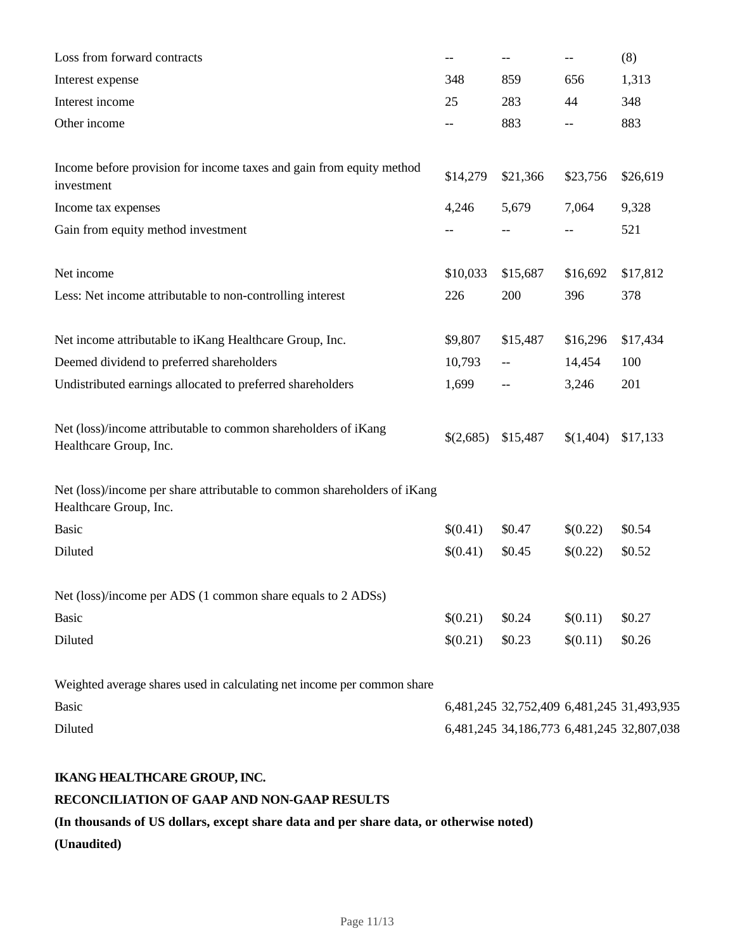| Loss from forward contracts                                                                        | --        | $\qquad \qquad -$                         | $\qquad \qquad -$ | (8)      |
|----------------------------------------------------------------------------------------------------|-----------|-------------------------------------------|-------------------|----------|
| Interest expense                                                                                   | 348       | 859                                       | 656               | 1,313    |
| Interest income                                                                                    | 25        | 283                                       | 44                | 348      |
| Other income                                                                                       | --        | 883                                       | $- -$             | 883      |
| Income before provision for income taxes and gain from equity method<br>investment                 | \$14,279  | \$21,366                                  | \$23,756          | \$26,619 |
| Income tax expenses                                                                                | 4,246     | 5,679                                     | 7,064             | 9,328    |
| Gain from equity method investment                                                                 | --        |                                           | $-$               | 521      |
| Net income                                                                                         | \$10,033  | \$15,687                                  | \$16,692          | \$17,812 |
| Less: Net income attributable to non-controlling interest                                          | 226       | 200                                       | 396               | 378      |
| Net income attributable to iKang Healthcare Group, Inc.                                            | \$9,807   | \$15,487                                  | \$16,296          | \$17,434 |
| Deemed dividend to preferred shareholders                                                          | 10,793    | $- -$                                     | 14,454            | 100      |
| Undistributed earnings allocated to preferred shareholders                                         | 1,699     | $- -$                                     | 3,246             | 201      |
| Net (loss)/income attributable to common shareholders of iKang<br>Healthcare Group, Inc.           | \$(2,685) | \$15,487                                  | \$(1,404)         | \$17,133 |
| Net (loss)/income per share attributable to common shareholders of iKang<br>Healthcare Group, Inc. |           |                                           |                   |          |
| <b>Basic</b>                                                                                       | \$(0.41)  | \$0.47                                    | \$(0.22)          | \$0.54   |
| Diluted                                                                                            | \$(0.41)  | \$0.45                                    | \$(0.22)          | \$0.52   |
| Net (loss)/income per ADS (1 common share equals to 2 ADSs)                                        |           |                                           |                   |          |
| <b>Basic</b>                                                                                       | \$(0.21)  | \$0.24                                    | \$(0.11)          | \$0.27   |
| Diluted                                                                                            | \$(0.21)  | \$0.23                                    | \$(0.11)          | \$0.26   |
| Weighted average shares used in calculating net income per common share                            |           |                                           |                   |          |
| <b>Basic</b>                                                                                       |           | 6,481,245 32,752,409 6,481,245 31,493,935 |                   |          |
| Diluted                                                                                            |           | 6,481,245 34,186,773 6,481,245 32,807,038 |                   |          |

# **IKANG HEALTHCARE GROUP, INC.**

# **RECONCILIATION OF GAAP AND NON-GAAP RESULTS**

# **(In thousands of US dollars, except share data and per share data, or otherwise noted)**

**(Unaudited)**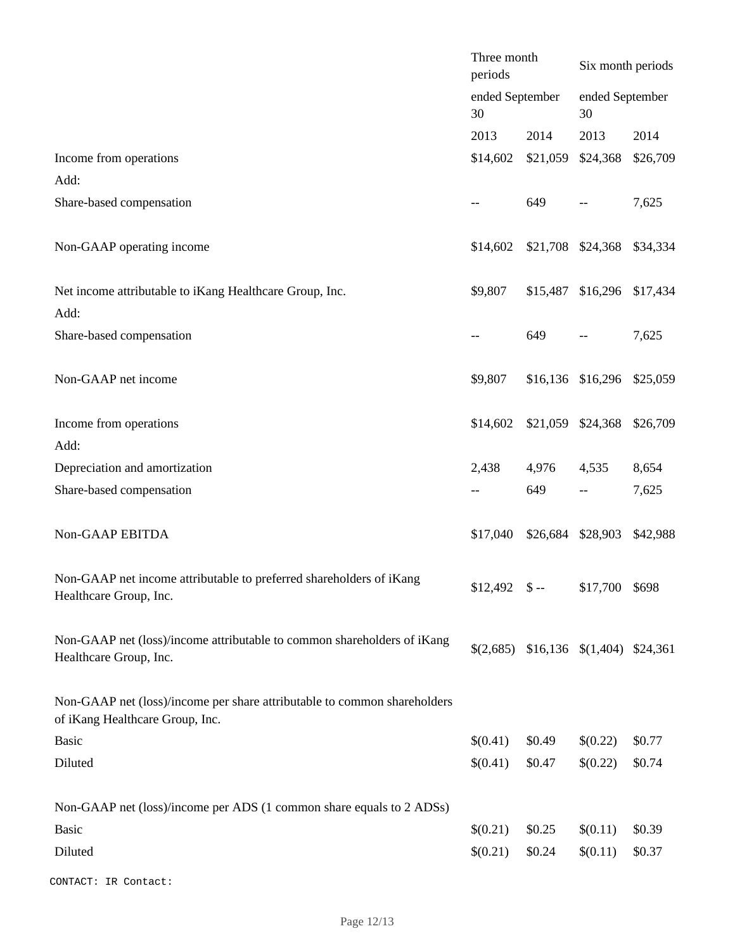|                                                                                                             | Three month<br>periods |          | Six month periods                      |                 |  |
|-------------------------------------------------------------------------------------------------------------|------------------------|----------|----------------------------------------|-----------------|--|
|                                                                                                             | ended September<br>30  |          | 30                                     | ended September |  |
|                                                                                                             | 2013                   | 2014     | 2013                                   | 2014            |  |
| Income from operations<br>Add:                                                                              | \$14,602               | \$21,059 | \$24,368                               | \$26,709        |  |
| Share-based compensation                                                                                    |                        | 649      |                                        | 7,625           |  |
| Non-GAAP operating income                                                                                   | \$14,602               |          | \$21,708 \$24,368                      | \$34,334        |  |
| Net income attributable to iKang Healthcare Group, Inc.<br>Add:                                             | \$9,807                | \$15,487 | \$16,296                               | \$17,434        |  |
| Share-based compensation                                                                                    |                        | 649      |                                        | 7,625           |  |
| Non-GAAP net income                                                                                         | \$9,807                |          | \$16,136 \$16,296                      | \$25,059        |  |
| Income from operations                                                                                      | \$14,602               |          | \$21,059 \$24,368                      | \$26,709        |  |
| Add:<br>Depreciation and amortization                                                                       | 2,438                  | 4,976    | 4,535                                  | 8,654           |  |
| Share-based compensation                                                                                    |                        | 649      |                                        | 7,625           |  |
| Non-GAAP EBITDA                                                                                             | \$17,040               |          | \$26,684 \$28,903                      | \$42,988        |  |
| Non-GAAP net income attributable to preferred shareholders of iKang<br>Healthcare Group, Inc.               | $$12,492$ \$ --        |          | \$17,700 \$698                         |                 |  |
| Non-GAAP net (loss)/income attributable to common shareholders of iKang<br>Healthcare Group, Inc.           |                        |          | $$(2,685)$ \$16,136 \$(1,404) \$24,361 |                 |  |
| Non-GAAP net (loss)/income per share attributable to common shareholders<br>of iKang Healthcare Group, Inc. |                        |          |                                        |                 |  |
| Basic                                                                                                       | \$(0.41)               | \$0.49   | \$(0.22)                               | \$0.77          |  |
| Diluted                                                                                                     | \$(0.41)               | \$0.47   | \$(0.22)                               | \$0.74          |  |
| Non-GAAP net (loss)/income per ADS (1 common share equals to 2 ADSs)                                        |                        |          |                                        |                 |  |
| <b>Basic</b>                                                                                                | \$(0.21)               | \$0.25   | \$(0.11)                               | \$0.39          |  |
| Diluted                                                                                                     | \$(0.21)               | \$0.24   | \$(0.11)                               | \$0.37          |  |
| CONTACT: IR Contact:                                                                                        |                        |          |                                        |                 |  |